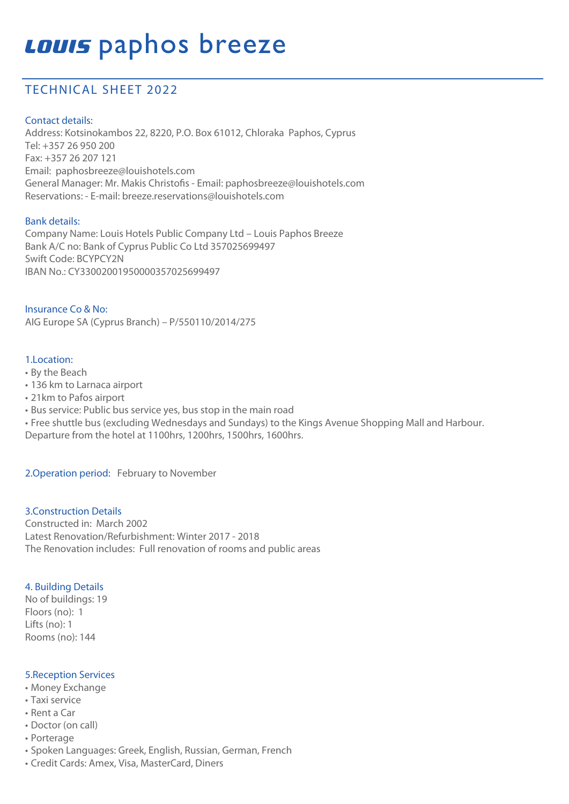# **Louis** paphos breeze

### TECHNICAL SHEET 2022

#### Contact details:

Address: Kotsinokambos 22, 8220, P.O. Box 61012, Chloraka Paphos, Cyprus Tel: +357 26 950 200 Fax: +357 26 207 121 Email: paphosbreeze@louishotels.com General Manager: Mr. Makis Christofis - Email: paphosbreeze@louishotels.com Reservations: - E-mail: breeze.reservations@louishotels.com

#### Bank details:

Company Name: Louis Hotels Public Company Ltd – Louis Paphos Breeze Bank A/C no: Bank of Cyprus Public Co Ltd 357025699497 Swift Code: BCYPCY2N IBAN No.: CY33002001950000357025699497

Insurance Co & No: AIG Europe SA (Cyprus Branch) – P/550110/2014/275

#### 1.Location:

- By the Beach
- 136 km to Larnaca airport
- 21km to Pafos airport
- Bus service: Public bus service yes, bus stop in the main road
- Free shuttle bus (excluding Wednesdays and Sundays) to the Kings Avenue Shopping Mall and Harbour.
- Departure from the hotel at 1100hrs, 1200hrs, 1500hrs, 1600hrs.

2.Operation period: February to November

#### 3.Construction Details

Constructed in: March 2002 Latest Renovation/Refurbishment: Winter 2017 - 2018 The Renovation includes: Full renovation of rooms and public areas

#### 4. Building Details

No of buildings: 19 Floors (no): 1 Lifts (no): 1 Rooms (no): 144

#### 5.Reception Services

- Money Exchange
- Taxi service
- Rent a Car
- Doctor (on call)
- Porterage
- Spoken Languages: Greek, English, Russian, German, French
- Credit Cards: Amex, Visa, MasterCard, Diners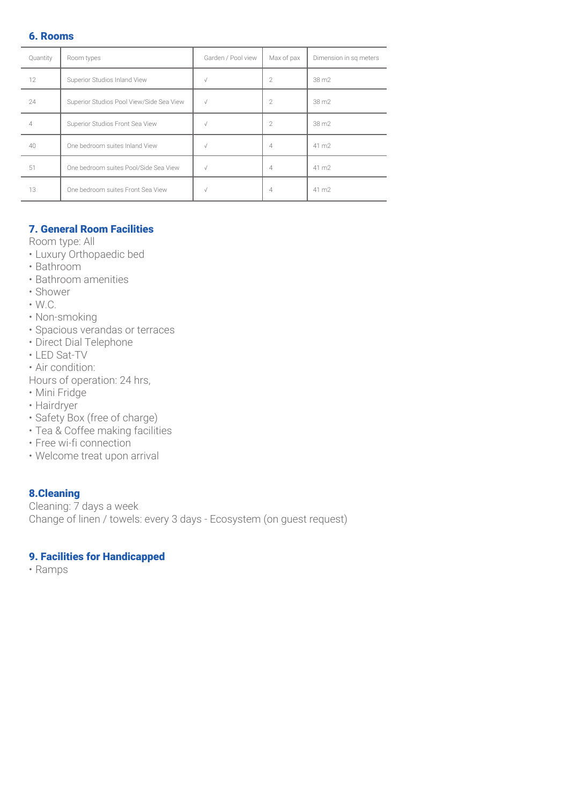#### 6. Rooms

| Quantity | Room types                               | Garden / Pool view | Max of pax     | Dimension in sq meters |
|----------|------------------------------------------|--------------------|----------------|------------------------|
| 12       | Superior Studios Inland View             |                    | 2              | 38 m2                  |
| 24       | Superior Studios Pool View/Side Sea View |                    | 2              | 38 m2                  |
| 4        | Superior Studios Front Sea View          |                    | $\overline{2}$ | 38 m2                  |
| 40       | One bedroom suites Inland View           |                    | 4              | 41 m2                  |
| 51       | One bedroom suites Pool/Side Sea View    |                    | 4              | 41 m2                  |
| 13       | One bedroom suites Front Sea View        |                    | 4              | 41 m <sub>2</sub>      |

#### 7. General Room Facilities

Room type: All

- Luxury Orthopaedic bed
- Bathroom
- Bathroom amenities
- Shower
- W.C.
- Non-smoking
- Spacious verandas or terraces
- Direct Dial Telephone
- LED Sat-TV
- Air condition:

Hours of operation: 24 hrs,

- Mini Fridge
- Hairdryer
- Safety Box (free of charge)
- Tea & Coffee making facilities
- Free wi-fi connection
- Welcome treat upon arrival

#### 8.Cleaning

Cleaning: 7 days a week Change of linen / towels: every 3 days - Ecosystem (on guest request)

#### 9. Facilities for Handicapped

• Ramps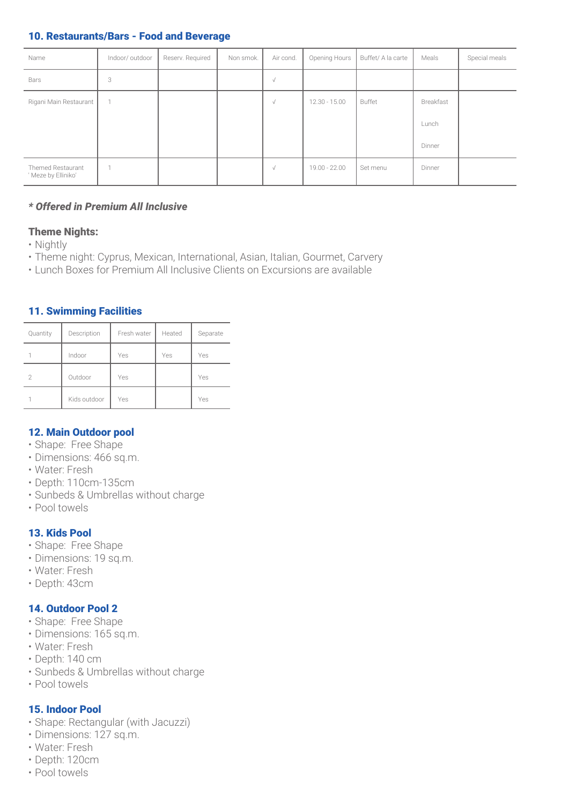#### 10. Restaurants/Bars - Food and Beverage

| Name                                     | Indoor/outdoor | Reserv. Required | Non smok. | Air cond.  | Opening Hours   | Buffet/ A la carte | Meals     | Special meals |
|------------------------------------------|----------------|------------------|-----------|------------|-----------------|--------------------|-----------|---------------|
| Bars                                     | 3              |                  |           | $\sqrt{}$  |                 |                    |           |               |
| Rigani Main Restaurant                   |                |                  |           | $\sqrt{}$  | $12.30 - 15.00$ | Buffet             | Breakfast |               |
|                                          |                |                  |           |            |                 |                    | Lunch     |               |
|                                          |                |                  |           |            |                 |                    | Dinner    |               |
| Themed Restaurant<br>' Meze by Elliniko' |                |                  |           | $\sqrt{ }$ | $19.00 - 22.00$ | Set menu           | Dinner    |               |

#### *\* Offered in Premium All Inclusive*

#### Theme Nights:

- Nightly
- Theme night: Cyprus, Mexican, International, Asian, Italian, Gourmet, Carvery
- Lunch Boxes for Premium All Inclusive Clients on Excursions are available

#### 11. Swimming Facilities

| Quantity      | Description  | Fresh water | Heated | Separate |
|---------------|--------------|-------------|--------|----------|
|               | Indoor       | Yes         | Yes    | Yes      |
| $\mathcal{P}$ | Outdoor      | Yes         |        | Yes      |
|               | Kids outdoor | Yes         |        | Yes      |

#### 12. Main Outdoor pool

- Shape: Free Shape
- Dimensions: 466 sq.m.
- Water: Fresh
- Depth: 110cm-135cm
- Sunbeds & Umbrellas without charge
- Pool towels

#### 13. Kids Pool

- Shape: Free Shape
- Dimensions: 19 sq.m.
- Water: Fresh
- Depth: 43cm

#### 14. Outdoor Pool 2

- Shape: Free Shape
- Dimensions: 165 sq.m.
- Water: Fresh
- Depth: 140 cm
- Sunbeds & Umbrellas without charge
- Pool towels

#### 15. Indoor Pool

- Shape: Rectangular (with Jacuzzi)
- Dimensions: 127 sq.m.
- Water: Fresh
- Depth: 120cm
- Pool towels